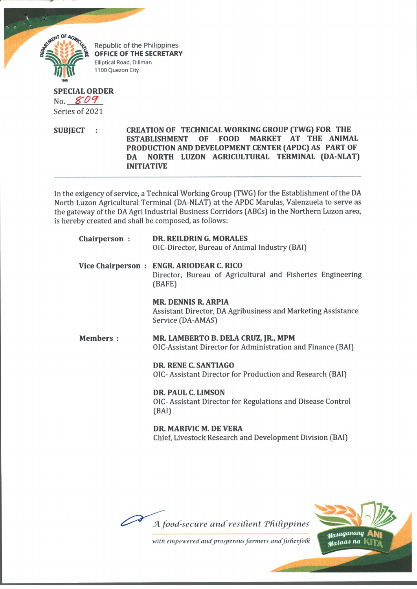

Republic of the Philippines **OFFICE OF THE SECRETARY Elliptical Road, Diliman 1100 Quezon City**

# **SPECIAL ORDER** No. *K O I*

Series of 2021

**SUBJECT : CREATION OF TECHNICAL WORKING GROUP (TWG) FOR THE ESTABLISHMENT OF FOOD MARKET AT THE ANIMAL PRODUCTION AND DEVELOPMENT CENTER (APDC) AS PART OF DA NORTH LUZON AGRICULTURAL TERMINAL (DA-NLAT) INITIATIVE**

In the exigency of service, a Technical Working Group [TWG] for the Establishment of the DA North Luzon Agricultural Terminal (DA-NLAT) at the APDC Marulas, Valenzuela to serve as the gateway of the DA Agri Industrial Business Corridors (ABCs) in the Northern Luzon area, is hereby created and shall be composed, as follows:

| Chairperson:    | <b>DR. REILDRING. MORALES</b><br>OIC-Director, Bureau of Animal Industry (BAI)                                   |
|-----------------|------------------------------------------------------------------------------------------------------------------|
|                 | Vice Chairperson: ENGR. ARIODEAR C. RICO<br>Director, Bureau of Agricultural and Fisheries Engineering<br>(BAFE) |
|                 | <b>MR. DENNIS R. ARPIA</b><br>Assistant Director, DA Agribusiness and Marketing Assistance<br>Service (DA-AMAS)  |
| <b>Members:</b> | MR. LAMBERTO B. DELA CRUZ, JR., MPM<br>OIC-Assistant Director for Administration and Finance (BAI)               |
|                 | DR. RENE C. SANTIAGO<br>OIC- Assistant Director for Production and Research (BAI)                                |
|                 | DR. PAUL C. LIMSON<br>OIC- Assistant Director for Regulations and Disease Control<br>(BAI)                       |
|                 | DR. MARIVIC M. DE VERA<br>Chief, Livestock Research and Development Division (BAI)                               |
|                 |                                                                                                                  |



with empowered and prosperous farmers and fisherfolk

Masaganang Al  $_{\textit{ata}$ as na  $\vert \vert$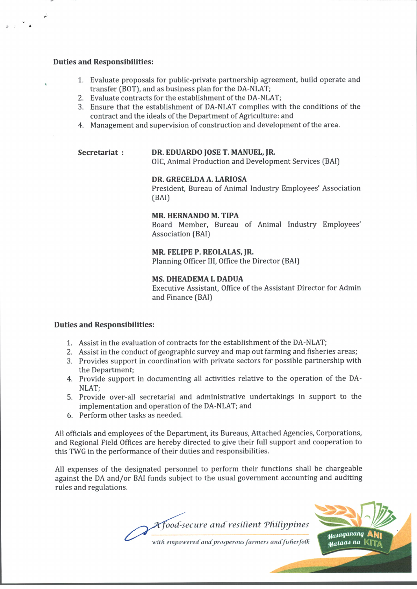#### **Duties and Responsibilities:**

- 1. Evaluate proposals for public-private partnership agreement, build operate and transfer (BOT), and as business plan for the DA-NLAT;
- 2. Evaluate contracts for the establishment of the DA-NLAT;
- 3. Ensure that the establishment of DA-NLAT complies with the conditions of the contract and the ideals of the Department of Agriculture: and
- 4. Management and supervision of construction and development of the area.

# **Secretariat : DR. EDUARDO JOSE T. MANUEL, JR.**

01C, Animal Production and Development Services (BAI)

#### **DR. GRECELDA A. LARIOSA**

President, Bureau of Animal Industry Employees' Association (BAI)

#### **MR. HERNANDO M. TIPA**

Board Member, Bureau of Animal Industry Employees' Association (BAI)

# **MR. FELIPE P. REOLALAS, JR.**

Planning Officer III, Office the Director (BAI)

### **MS. DHEADEMA I. DADUA**

Executive Assistant, Office of the Assistant Director for Admin and Finance (BAI)

### **Duties and Responsibilities:**

- 1. Assist in the evaluation of contracts for the establishment of the DA-NLAT;
- 2. Assist in the conduct of geographic survey and map out farming and fisheries areas;
- 3. Provides support in coordination with private sectors for possible partnership with the Department;
- 4. Provide support in documenting all activities relative to the operation of the DA-NLAT;
- 5. Provide over-all secretarial and administrative undertakings in support to the implementation and operation of the DA-NLAT; and
- 6. Perform other tasks as needed.

All officials and employees of the Department, its Bureaus, Attached Agencies, Corporations, and Regional Field Offices are hereby directed to give their full support and cooperation to this TWG in the performance of their duties and responsibilities.

All expenses of the designated personnel to perform their functions shall be chargeable against the DA and/or BAI funds subject to the usual government accounting and auditing rules and regulations.

> *Afood-secure and resilient Philippines* with empowered and prosperous farmers and fisherfolk